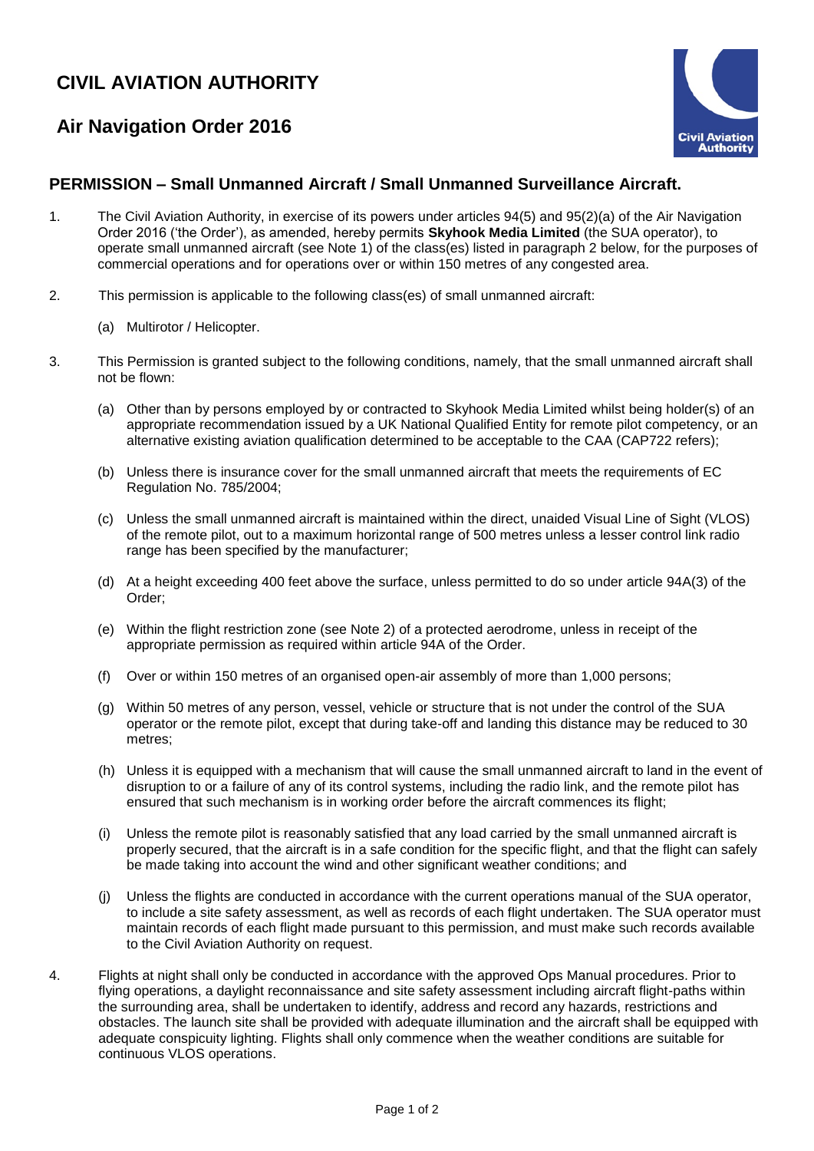## **CIVIL AVIATION AUTHORITY**

## **Air Navigation Order 2016**



## **PERMISSION – Small Unmanned Aircraft / Small Unmanned Surveillance Aircraft.**

- 1. The Civil Aviation Authority, in exercise of its powers under articles 94(5) and 95(2)(a) of the Air Navigation Order 2016 ('the Order'), as amended, hereby permits **Skyhook Media Limited** (the SUA operator), to operate small unmanned aircraft (see Note 1) of the class(es) listed in paragraph 2 below, for the purposes of commercial operations and for operations over or within 150 metres of any congested area.
- 2. This permission is applicable to the following class(es) of small unmanned aircraft:
	- (a) Multirotor / Helicopter.
- 3. This Permission is granted subject to the following conditions, namely, that the small unmanned aircraft shall not be flown:
	- (a) Other than by persons employed by or contracted to Skyhook Media Limited whilst being holder(s) of an appropriate recommendation issued by a UK National Qualified Entity for remote pilot competency, or an alternative existing aviation qualification determined to be acceptable to the CAA (CAP722 refers);
	- (b) Unless there is insurance cover for the small unmanned aircraft that meets the requirements of EC Regulation No. 785/2004;
	- (c) Unless the small unmanned aircraft is maintained within the direct, unaided Visual Line of Sight (VLOS) of the remote pilot, out to a maximum horizontal range of 500 metres unless a lesser control link radio range has been specified by the manufacturer;
	- (d) At a height exceeding 400 feet above the surface, unless permitted to do so under article 94A(3) of the Order;
	- (e) Within the flight restriction zone (see Note 2) of a protected aerodrome, unless in receipt of the appropriate permission as required within article 94A of the Order.
	- (f) Over or within 150 metres of an organised open-air assembly of more than 1,000 persons;
	- (g) Within 50 metres of any person, vessel, vehicle or structure that is not under the control of the SUA operator or the remote pilot, except that during take-off and landing this distance may be reduced to 30 metres;
	- (h) Unless it is equipped with a mechanism that will cause the small unmanned aircraft to land in the event of disruption to or a failure of any of its control systems, including the radio link, and the remote pilot has ensured that such mechanism is in working order before the aircraft commences its flight;
	- (i) Unless the remote pilot is reasonably satisfied that any load carried by the small unmanned aircraft is properly secured, that the aircraft is in a safe condition for the specific flight, and that the flight can safely be made taking into account the wind and other significant weather conditions; and
	- (j) Unless the flights are conducted in accordance with the current operations manual of the SUA operator, to include a site safety assessment, as well as records of each flight undertaken. The SUA operator must maintain records of each flight made pursuant to this permission, and must make such records available to the Civil Aviation Authority on request.
- 4. Flights at night shall only be conducted in accordance with the approved Ops Manual procedures. Prior to flying operations, a daylight reconnaissance and site safety assessment including aircraft flight-paths within the surrounding area, shall be undertaken to identify, address and record any hazards, restrictions and obstacles. The launch site shall be provided with adequate illumination and the aircraft shall be equipped with adequate conspicuity lighting. Flights shall only commence when the weather conditions are suitable for continuous VLOS operations.